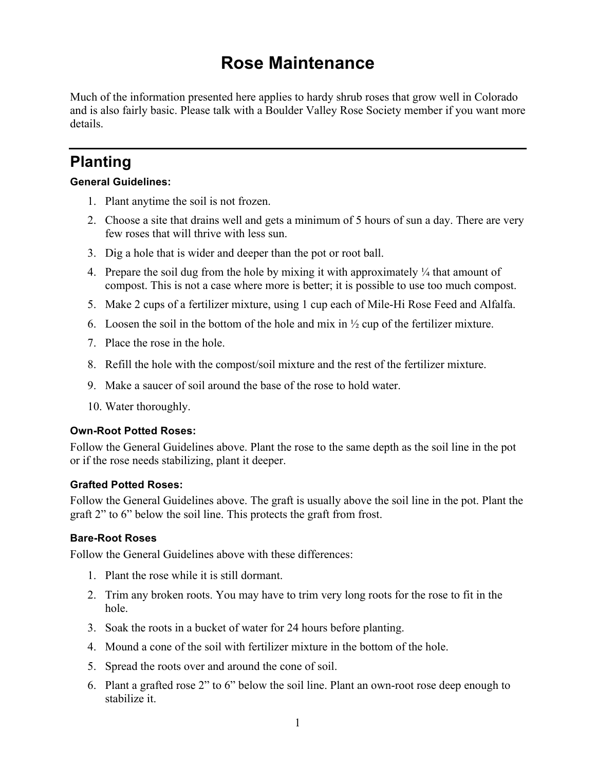# **Rose Maintenance**

Much of the information presented here applies to hardy shrub roses that grow well in Colorado and is also fairly basic. Please talk with a Boulder Valley Rose Society member if you want more details.

## **Planting**

#### **General Guidelines:**

- 1. Plant anytime the soil is not frozen.
- 2. Choose a site that drains well and gets a minimum of 5 hours of sun a day. There are very few roses that will thrive with less sun.
- 3. Dig a hole that is wider and deeper than the pot or root ball.
- 4. Prepare the soil dug from the hole by mixing it with approximately  $\frac{1}{4}$  that amount of compost. This is not a case where more is better; it is possible to use too much compost.
- 5. Make 2 cups of a fertilizer mixture, using 1 cup each of Mile-Hi Rose Feed and Alfalfa.
- 6. Loosen the soil in the bottom of the hole and mix in  $\frac{1}{2}$  cup of the fertilizer mixture.
- 7. Place the rose in the hole.
- 8. Refill the hole with the compost/soil mixture and the rest of the fertilizer mixture.
- 9. Make a saucer of soil around the base of the rose to hold water.
- 10. Water thoroughly.

#### **Own-Root Potted Roses:**

Follow the General Guidelines above. Plant the rose to the same depth as the soil line in the pot or if the rose needs stabilizing, plant it deeper.

#### **Grafted Potted Roses:**

Follow the General Guidelines above. The graft is usually above the soil line in the pot. Plant the graft 2" to 6" below the soil line. This protects the graft from frost.

#### **Bare-Root Roses**

Follow the General Guidelines above with these differences:

- 1. Plant the rose while it is still dormant.
- 2. Trim any broken roots. You may have to trim very long roots for the rose to fit in the hole.
- 3. Soak the roots in a bucket of water for 24 hours before planting.
- 4. Mound a cone of the soil with fertilizer mixture in the bottom of the hole.
- 5. Spread the roots over and around the cone of soil.
- 6. Plant a grafted rose 2" to 6" below the soil line. Plant an own-root rose deep enough to stabilize it.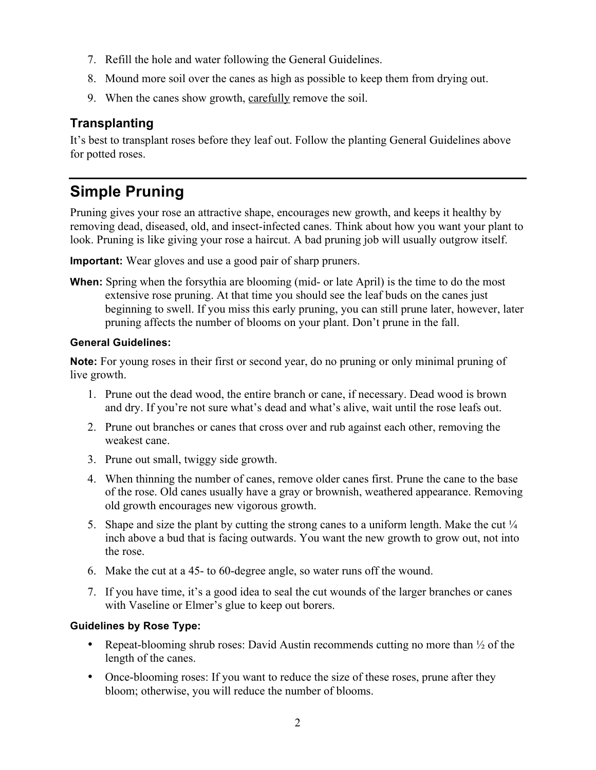- 7. Refill the hole and water following the General Guidelines.
- 8. Mound more soil over the canes as high as possible to keep them from drying out.
- 9. When the canes show growth, carefully remove the soil.

### **Transplanting**

It's best to transplant roses before they leaf out. Follow the planting General Guidelines above for potted roses.

# **Simple Pruning**

Pruning gives your rose an attractive shape, encourages new growth, and keeps it healthy by removing dead, diseased, old, and insect-infected canes. Think about how you want your plant to look. Pruning is like giving your rose a haircut. A bad pruning job will usually outgrow itself.

**Important:** Wear gloves and use a good pair of sharp pruners.

**When:** Spring when the forsythia are blooming (mid- or late April) is the time to do the most extensive rose pruning. At that time you should see the leaf buds on the canes just beginning to swell. If you miss this early pruning, you can still prune later, however, later pruning affects the number of blooms on your plant. Don't prune in the fall.

#### **General Guidelines:**

**Note:** For young roses in their first or second year, do no pruning or only minimal pruning of live growth.

- 1. Prune out the dead wood, the entire branch or cane, if necessary. Dead wood is brown and dry. If you're not sure what's dead and what's alive, wait until the rose leafs out.
- 2. Prune out branches or canes that cross over and rub against each other, removing the weakest cane.
- 3. Prune out small, twiggy side growth.
- 4. When thinning the number of canes, remove older canes first. Prune the cane to the base of the rose. Old canes usually have a gray or brownish, weathered appearance. Removing old growth encourages new vigorous growth.
- 5. Shape and size the plant by cutting the strong canes to a uniform length. Make the cut  $\frac{1}{4}$ inch above a bud that is facing outwards. You want the new growth to grow out, not into the rose.
- 6. Make the cut at a 45- to 60-degree angle, so water runs off the wound.
- 7. If you have time, it's a good idea to seal the cut wounds of the larger branches or canes with Vaseline or Elmer's glue to keep out borers.

#### **Guidelines by Rose Type:**

- Repeat-blooming shrub roses: David Austin recommends cutting no more than  $\frac{1}{2}$  of the length of the canes.
- Once-blooming roses: If you want to reduce the size of these roses, prune after they bloom; otherwise, you will reduce the number of blooms.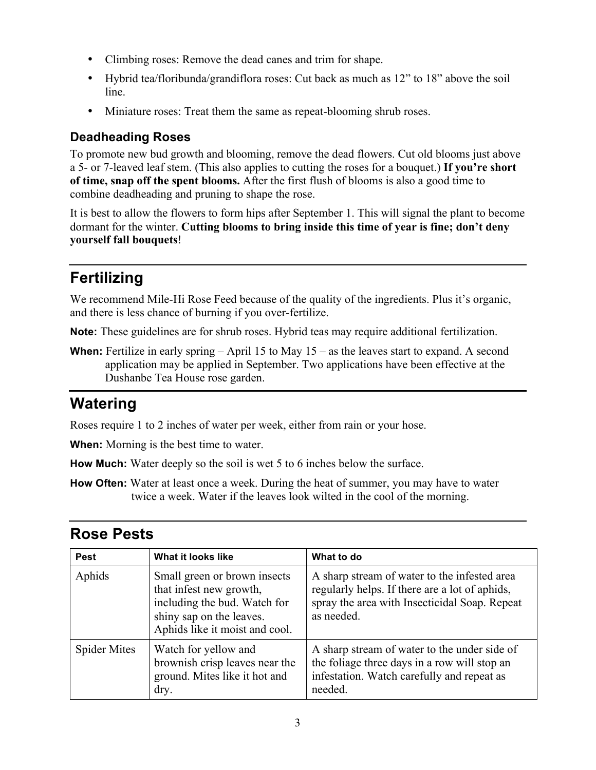- Climbing roses: Remove the dead canes and trim for shape.
- Hybrid tea/floribunda/grandiflora roses: Cut back as much as 12" to 18" above the soil line.
- Miniature roses: Treat them the same as repeat-blooming shrub roses.

### **Deadheading Roses**

To promote new bud growth and blooming, remove the dead flowers. Cut old blooms just above a 5- or 7-leaved leaf stem. (This also applies to cutting the roses for a bouquet.) **If you're short of time, snap off the spent blooms.** After the first flush of blooms is also a good time to combine deadheading and pruning to shape the rose.

It is best to allow the flowers to form hips after September 1. This will signal the plant to become dormant for the winter. **Cutting blooms to bring inside this time of year is fine; don't deny yourself fall bouquets**!

## **Fertilizing**

We recommend Mile-Hi Rose Feed because of the quality of the ingredients. Plus it's organic, and there is less chance of burning if you over-fertilize.

**Note:** These guidelines are for shrub roses. Hybrid teas may require additional fertilization.

**When:** Fertilize in early spring – April 15 to May 15 – as the leaves start to expand. A second application may be applied in September. Two applications have been effective at the Dushanbe Tea House rose garden.

# **Watering**

Roses require 1 to 2 inches of water per week, either from rain or your hose.

**When:** Morning is the best time to water.

**How Much:** Water deeply so the soil is wet 5 to 6 inches below the surface.

**How Often:** Water at least once a week. During the heat of summer, you may have to water twice a week. Water if the leaves look wilted in the cool of the morning.

### **Rose Pests**

| <b>Pest</b>         | What it looks like                                                                                                                                    | What to do                                                                                                                                                    |
|---------------------|-------------------------------------------------------------------------------------------------------------------------------------------------------|---------------------------------------------------------------------------------------------------------------------------------------------------------------|
| Aphids              | Small green or brown insects<br>that infest new growth,<br>including the bud. Watch for<br>shiny sap on the leaves.<br>Aphids like it moist and cool. | A sharp stream of water to the infested area<br>regularly helps. If there are a lot of aphids,<br>spray the area with Insecticidal Soap. Repeat<br>as needed. |
| <b>Spider Mites</b> | Watch for yellow and<br>brownish crisp leaves near the<br>ground. Mites like it hot and<br>dry.                                                       | A sharp stream of water to the under side of<br>the foliage three days in a row will stop an<br>infestation. Watch carefully and repeat as<br>needed.         |